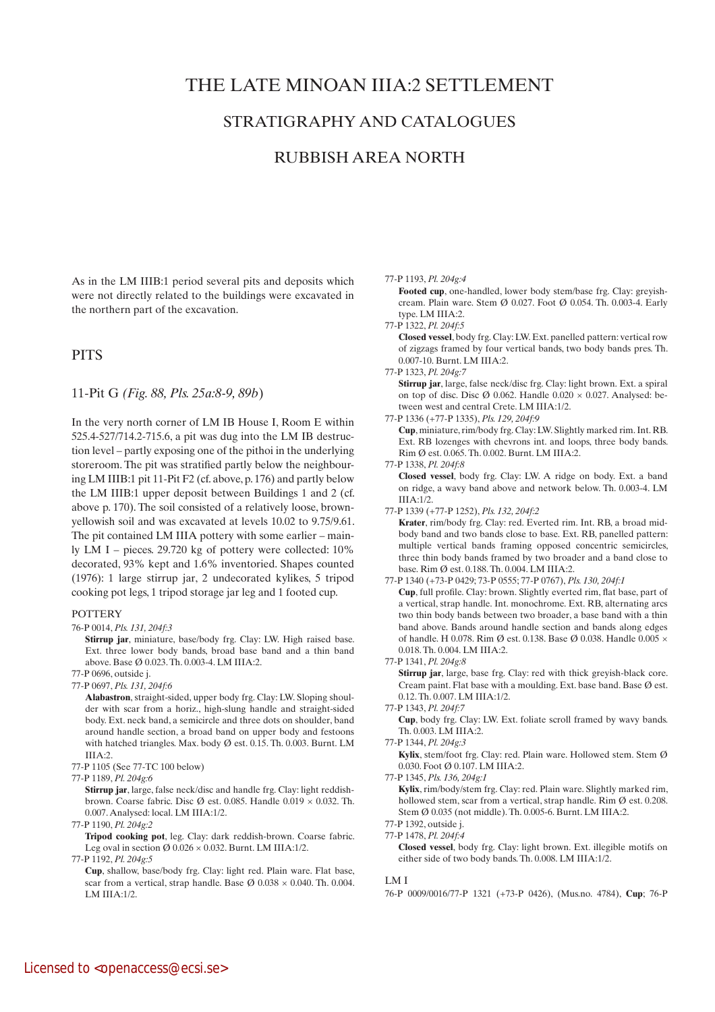# THE LATE MINOAN IIIA:2 SETTLEMENT

# STRATIGRAPHY AND CATALOGUES

# RUBBISH AREA NORTH

As in the LM IIIB:1 period several pits and deposits which were not directly related to the buildings were excavated in the northern part of the excavation.

# **PITS**

11-Pit G *(Fig. 88, Pls. 25a:8-9, 89b*)

In the very north corner of LM IB House I, Room E within 525.4-527/714.2-715.6, a pit was dug into the LM IB destruction level – partly exposing one of the pithoi in the underlying storeroom. The pit was stratified partly below the neighbouring LM IIIB:1 pit 11-Pit F2 (cf. above, p. 176) and partly below the LM IIIB:1 upper deposit between Buildings 1 and 2 (cf. above p. 170). The soil consisted of a relatively loose, brownyellowish soil and was excavated at levels 10.02 to 9.75/9.61. The pit contained LM IIIA pottery with some earlier – mainly LM I – pieces. 29.720 kg of pottery were collected: 10% decorated, 93% kept and 1.6% inventoried. Shapes counted (1976): 1 large stirrup jar, 2 undecorated kylikes, 5 tripod cooking pot legs, 1 tripod storage jar leg and 1 footed cup.

#### **POTTERY**

76-P 0014, *Pls. 131, 204f:3*

 **Stirrup jar**, miniature, base/body frg. Clay: LW. High raised base. Ext. three lower body bands, broad base band and a thin band above. Base Ø 0.023. Th. 0.003-4. LM IIIA:2.

77-P 0696, outside j. 77-P 0697, *Pls. 131, 204f:6*

 **Alabastron**, straight-sided, upper body frg. Clay: LW. Sloping shoulder with scar from a horiz., high-slung handle and straight-sided body. Ext. neck band, a semicircle and three dots on shoulder, band around handle section, a broad band on upper body and festoons with hatched triangles. Max. body Ø est. 0.15. Th. 0.003. Burnt. LM IIIA:2.

- 77-P 1105 (See 77-TC 100 below)
- 77-P 1189, *Pl. 204g:6*

**Stirrup jar**, large, false neck/disc and handle frg. Clay: light reddishbrown. Coarse fabric. Disc Ø est. 0.085. Handle  $0.019 \times 0.032$ . Th. 0.007. Analysed: local. LM IIIA:1/2.

77-P 1190, *Pl. 204g:2*

 **Tripod cooking pot**, leg. Clay: dark reddish-brown. Coarse fabric. Leg oval in section  $\varnothing$  0.026  $\times$  0.032. Burnt. LM IIIA:1/2.

77-P 1192, *Pl. 204g:5*

 **Cup**, shallow, base/body frg. Clay: light red. Plain ware. Flat base, scar from a vertical, strap handle. Base  $\varnothing$  0.038  $\times$  0.040. Th. 0.004. LM III $A·1/2$ 

#### 77-P 1193, *Pl. 204g:4*

 **Footed cup**, one-handled, lower body stem/base frg. Clay: greyishcream. Plain ware. Stem Ø 0.027. Foot Ø 0.054. Th. 0.003-4. Early type. LM IIIA:2.

77-P 1322, *Pl. 204f:5*

 **Closed vessel**, body frg. Clay: LW. Ext. panelled pattern: vertical row of zigzags framed by four vertical bands, two body bands pres. Th. 0.007-10. Burnt. LM IIIA:2.

77-P 1323, *Pl. 204g:7*

**Stirrup jar**, large, false neck/disc frg. Clay: light brown. Ext. a spiral on top of disc. Disc  $\varnothing$  0.062. Handle 0.020  $\times$  0.027. Analysed: between west and central Crete. LM IIIA:1/2.

77-P 1336 (+77-P 1335), *Pls. 129, 204f:9*

 **Cup**, miniature, rim/body frg. Clay: LW. Slightly marked rim. Int. RB. Ext. RB lozenges with chevrons int. and loops, three body bands. Rim Ø est. 0.065. Th. 0.002. Burnt. LM IIIA:2.

77-P 1338, *Pl. 204f:8*

 **Closed vessel**, body frg. Clay: LW. A ridge on body. Ext. a band on ridge, a wavy band above and network below. Th. 0.003-4. LM IIIA:1/2.

77-P 1339 (+77-P 1252), *Pls. 132, 204f:2*

 **Krater**, rim/body frg. Clay: red. Everted rim. Int. RB, a broad midbody band and two bands close to base. Ext. RB, panelled pattern: multiple vertical bands framing opposed concentric semicircles, three thin body bands framed by two broader and a band close to base. Rim Ø est. 0.188. Th. 0.004. LM IIIA:2.

77-P 1340 (+73-P 0429; 73-P 0555; 77-P 0767), *Pls. 130, 204f:1*  **Cup**, full profile. Clay: brown. Slightly everted rim, flat base, part of a vertical, strap handle. Int. monochrome. Ext. RB, alternating arcs two thin body bands between two broader, a base band with a thin band above. Bands around handle section and bands along edges of handle. H 0.078. Rim Ø est. 0.138. Base Ø 0.038. Handle  $0.005 \times$ 0.018. Th. 0.004. LM IIIA:2.

77-P 1341, *Pl. 204g:8*

**Stirrup jar**, large, base frg. Clay: red with thick greyish-black core. Cream paint. Flat base with a moulding. Ext. base band. Base Ø est. 0.12. Th. 0.007. LM IIIA:1/2.

77-P 1343, *Pl. 204f:7*

 **Cup**, body frg. Clay: LW. Ext. foliate scroll framed by wavy bands. Th. 0.003. LM IIIA:2.

 **Kylix**, stem/foot frg. Clay: red. Plain ware. Hollowed stem. Stem Ø 0.030. Foot Ø 0.107. LM IIIA:2.

77-P 1345, *Pls. 136, 204g:1*

**Kylix**, rim/body/stem frg. Clay: red. Plain ware. Slightly marked rim, hollowed stem, scar from a vertical, strap handle. Rim Ø est. 0.208. Stem Ø 0.035 (not middle). Th. 0.005-6. Burnt. LM IIIA:2.

77-P 1392, outside j.

77-P 1478, *Pl. 204f:4*  **Closed vessel**, body frg. Clay: light brown. Ext. illegible motifs on either side of two body bands. Th. 0.008. LM IIIA:1/2.

#### LM I

76-P 0009/0016/77-P 1321 (+73-P 0426), (Mus.no. 4784), **Cup**; 76-P

<sup>77-</sup>P 1344, *Pl. 204g:3*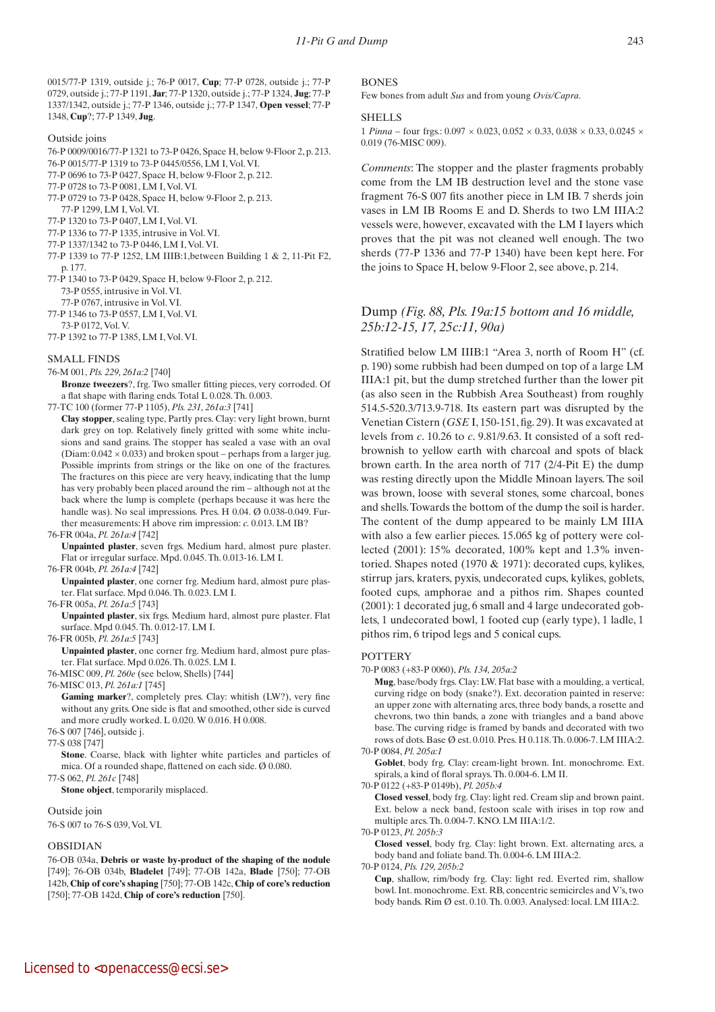243

0015/77-P 1319, outside j.; 76-P 0017, **Cup**; 77-P 0728, outside j.; 77-P 0729, outside j.; 77-P 1191, **Jar**; 77-P 1320, outside j.; 77-P 1324, **Jug**; 77-P 1337/1342, outside j.; 77-P 1346, outside j.; 77-P 1347, **Open vessel**; 77-P 1348, **Cup**?; 77-P 1349, **Jug**.

#### Outside joins

- 76-P 0009/0016/77-P 1321 to 73-P 0426, Space H, below 9-Floor 2, p. 213.
- 76-P 0015/77-P 1319 to 73-P 0445/0556, LM I, Vol. VI.
- 77-P 0696 to 73-P 0427, Space H, below 9-Floor 2, p. 212.
- 77-P 0728 to 73-P 0081, LM I, Vol. VI.
- 77-P 0729 to 73-P 0428, Space H, below 9-Floor 2, p. 213. 77-P 1299, LM I, Vol. VI.
- 77-P 1320 to 73-P 0407, LM I, Vol. VI.
- 77-P 1336 to 77-P 1335, intrusive in Vol. VI.
- 77-P 1337/1342 to 73-P 0446, LM I, Vol. VI.
- 77-P 1339 to 77-P 1252, LM IIIB:1,between Building 1 & 2, 11-Pit F2, p. 177.
- 77-P 1340 to 73-P 0429, Space H, below 9-Floor 2, p. 212. 73-P 0555, intrusive in Vol. VI.
- 
- 77-P 0767, intrusive in Vol. VI. 77-P 1346 to 73-P 0557, LM I, Vol. VI.
- 73-P 0172, Vol. V.
- 77-P 1392 to 77-P 1385, LM I, Vol. VI.

#### SMALL FINDS

- 76-M 001, *Pls. 229, 261a:2* [740]
- **Bronze tweezers**?, frg. Two smaller fitting pieces, very corroded. Of a flat shape with flaring ends. Total L 0.028. Th. 0.003.
- 77-TC 100 (former 77-P 1105), *Pls. 231, 261a:3* [741]
- **Clay stopper**, sealing type, Partly pres. Clay: very light brown, burnt dark grey on top. Relatively finely gritted with some white inclusions and sand grains. The stopper has sealed a vase with an oval (Diam:  $0.042 \times 0.033$ ) and broken spout – perhaps from a larger jug. Possible imprints from strings or the like on one of the fractures. The fractures on this piece are very heavy, indicating that the lump has very probably been placed around the rim – although not at the back where the lump is complete (perhaps because it was here the handle was). No seal impressions. Pres. H 0.04. Ø 0.038-0.049. Further measurements: H above rim impression: *c.* 0.013. LM IB?

#### 76-FR 004a, *Pl. 261a:4* [742]

 **Unpainted plaster**, seven frgs. Medium hard, almost pure plaster. Flat or irregular surface. Mpd. 0.045. Th. 0.013-16. LM I.

76-FR 004b, *Pl. 261a:4* [742]

 **Unpainted plaster**, one corner frg. Medium hard, almost pure plaster. Flat surface. Mpd 0.046. Th. 0.023. LM I.

#### 76-FR 005a, *Pl. 261a:5* [743]

 **Unpainted plaster**, six frgs. Medium hard, almost pure plaster. Flat surface. Mpd 0.045. Th. 0.012-17. LM I.

76-FR 005b, *Pl. 261a:5* [743]

 **Unpainted plaster**, one corner frg. Medium hard, almost pure plaster. Flat surface. Mpd 0.026. Th. 0.025. LM I.

76-MISC 009, *Pl. 260e* (see below, Shells) [744]

76-MISC 013, *Pl. 261a:1* [745]

- **Gaming marker**?, completely pres. Clay: whitish (LW?), very fine without any grits. One side is flat and smoothed, other side is curved and more crudly worked. L 0.020. W 0.016. H 0.008.
- 76-S 007 [746], outside j.

77-S 038 [747]

**Stone**. Coarse, black with lighter white particles and particles of mica. Of a rounded shape, flattened on each side. Ø 0.080.

77-S 062, *Pl. 261c* [748]

 **Stone object**, temporarily misplaced.

Outside join

76-S 007 to 76-S 039, Vol. VI.

### OBSIDIAN

76-OB 034a, **Debris or waste by-product of the shaping of the nodule** [749]; 76-OB 034b, **Bladelet** [749]; 77-OB 142a, **Blade** [750]; 77-OB 142b, **Chip of core's shaping** [750]; 77-OB 142c, **Chip of core's reduction** [750]; 77-OB 142d, **Chip of core's reduction** [750].

### **BONES**

Few bones from adult *Sus* and from young *Ovis/Capra*.

#### SHELLS

1 *Pinna* – four frgs.:  $0.097 \times 0.023$ ,  $0.052 \times 0.33$ ,  $0.038 \times 0.33$ ,  $0.0245 \times$ 0.019 (76-MISC 009).

*Comments*: The stopper and the plaster fragments probably come from the LM IB destruction level and the stone vase fragment 76-S 007 fits another piece in LM IB. 7 sherds join vases in LM IB Rooms E and D. Sherds to two LM IIIA:2 vessels were, however, excavated with the LM I layers which proves that the pit was not cleaned well enough. The two sherds (77-P 1336 and 77-P 1340) have been kept here. For the joins to Space H, below 9-Floor 2, see above, p. 214.

# Dump *(Fig. 88, Pls. 19a:15 bottom and 16 middle, 25b:12-15, 17, 25c:11, 90a)*

Stratified below LM IIIB:1 "Area 3, north of Room H" (cf. p. 190) some rubbish had been dumped on top of a large LM IIIA:1 pit, but the dump stretched further than the lower pit (as also seen in the Rubbish Area Southeast) from roughly 514.5-520.3/713.9-718. Its eastern part was disrupted by the Venetian Cistern (*GSE* I, 150-151, fig. 29). It was excavated at levels from *c*. 10.26 to *c*. 9.81/9.63. It consisted of a soft redbrownish to yellow earth with charcoal and spots of black brown earth. In the area north of 717 (2/4-Pit E) the dump was resting directly upon the Middle Minoan layers. The soil was brown, loose with several stones, some charcoal, bones and shells. Towards the bottom of the dump the soil is harder. The content of the dump appeared to be mainly LM IIIA with also a few earlier pieces. 15.065 kg of pottery were collected (2001): 15% decorated, 100% kept and 1.3% inventoried. Shapes noted (1970 & 1971): decorated cups, kylikes, stirrup jars, kraters, pyxis, undecorated cups, kylikes, goblets, footed cups, amphorae and a pithos rim. Shapes counted (2001): 1 decorated jug, 6 small and 4 large undecorated goblets, 1 undecorated bowl, 1 footed cup (early type), 1 ladle, 1 pithos rim, 6 tripod legs and 5 conical cups.

#### **POTTERY**

70-P 0083 (+83-P 0060), *Pls. 134, 205a:2*

 **Mug**, base/body frgs. Clay: LW. Flat base with a moulding, a vertical, curving ridge on body (snake?). Ext. decoration painted in reserve: an upper zone with alternating arcs, three body bands, a rosette and chevrons, two thin bands, a zone with triangles and a band above base. The curving ridge is framed by bands and decorated with two rows of dots. Base Ø est. 0.010. Pres. H 0.118. Th. 0.006-7. LM IIIA:2. 70-P 0084, *Pl. 205a:1*

Goblet, body frg. Clay: cream-light brown. Int. monochrome. Ext. spirals, a kind of floral sprays. Th. 0.004-6. LM II.

70-P 0122 (+83-P 0149b), *Pl. 205b:4*

 **Closed vessel**, body frg. Clay: light red. Cream slip and brown paint. Ext. below a neck band, festoon scale with irises in top row and multiple arcs. Th. 0.004-7. KNO. LM IIIA:1/2.

70-P 0123, *Pl. 205b:3*

 **Closed vessel**, body frg. Clay: light brown. Ext. alternating arcs, a body band and foliate band. Th. 0.004-6. LM IIIA:2.

70-P 0124, *Pls. 129, 205b:2*

 **Cup**, shallow, rim/body frg. Clay: light red. Everted rim, shallow bowl. Int. monochrome. Ext. RB, concentric semicircles and V's, two body bands. Rim Ø est. 0.10. Th. 0.003. Analysed: local. LM IIIA:2.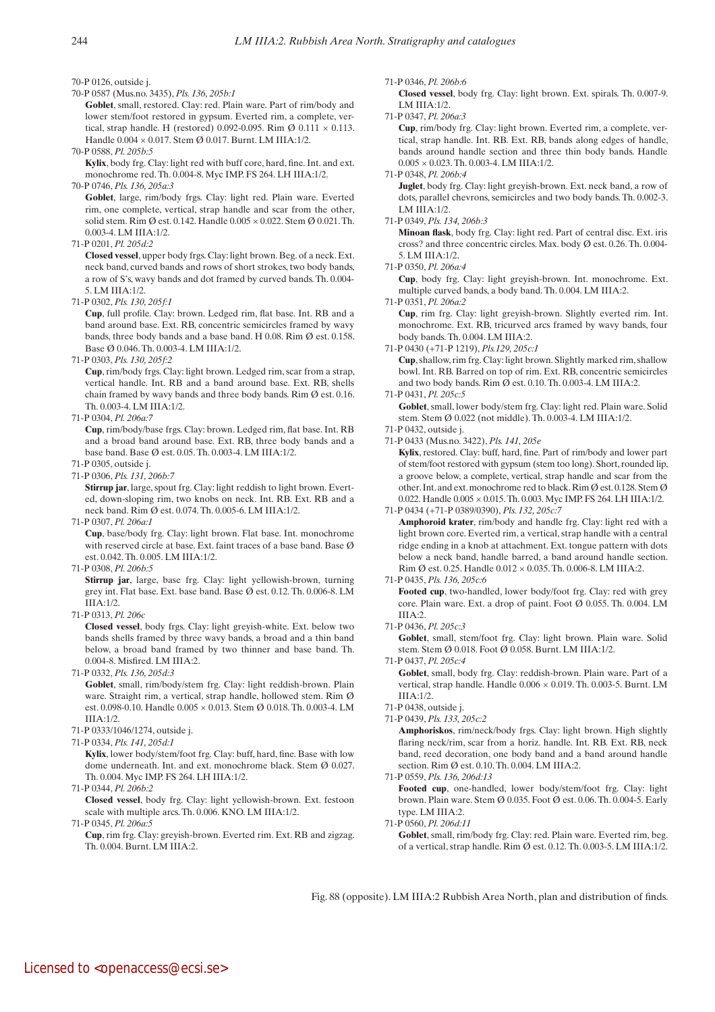#### 70-P 0126, outside j.

70-P 0587 (Mus.no. 3435), *Pls. 136, 205b:1*

Goblet, small, restored. Clay: red. Plain ware. Part of rim/body and lower stem/foot restored in gypsum. Everted rim, a complete, vertical, strap handle. H (restored) 0.092-0.095. Rim  $\emptyset$  0.111  $\times$  0.113. Handle 0.004 × 0.017. Stem Ø 0.017. Burnt. LM IIIA:1/2.

- 70-P 0588, *Pl. 205b:5*
- **Kylix**, body frg. Clay: light red with buff core, hard, fine. Int. and ext. monochrome red. Th. 0.004-8. Myc IMP. FS 264. LH IIIA:1/2. 70-P 0746, *Pls. 136, 205a:3*

 **Goblet**, large, rim/body frgs. Clay: light red. Plain ware. Everted rim, one complete, vertical, strap handle and scar from the other, solid stem. Rim Ø est. 0.142. Handle 0.005 × 0.022. Stem Ø 0.021. Th. 0.003-4. LM IIIA:1/2.

### 71-P 0201, *Pl. 205d:2*

 **Closed vessel**, upper body frgs. Clay: light brown. Beg. of a neck. Ext. neck band, curved bands and rows of short strokes, two body bands, a row of S's, wavy bands and dot framed by curved bands. Th. 0.004- 5. LM IIIA:1/2.

71-P 0302, *Pls. 130, 205f:1*

 **Cup**, full profile. Clay: brown. Ledged rim, flat base. Int. RB and a band around base. Ext. RB, concentric semicircles framed by wavy bands, three body bands and a base band. H 0.08. Rim Ø est. 0.158. Base Ø 0.046. Th. 0.003-4. LM IIIA:1/2.

71-P 0303, *Pls. 130, 205f:2*

 **Cup**, rim/body frgs. Clay: light brown. Ledged rim, scar from a strap, vertical handle. Int. RB and a band around base. Ext. RB, shells chain framed by wavy bands and three body bands. Rim Ø est. 0.16. Th. 0.003-4. LM IIIA:1/2.

71-P 0304, *Pl. 206a:7*

 **Cup**, rim/body/base frgs. Clay: brown. Ledged rim, flat base. Int. RB and a broad band around base. Ext. RB, three body bands and a base band. Base Ø est. 0.05. Th. 0.003-4. LM IIIA:1/2.

- 71-P 0305, outside j.
- 71-P 0306, *Pls. 131, 206b:7*

 **Stirrup jar**, large, spout frg. Clay: light reddish to light brown. Everted, down-sloping rim, two knobs on neck. Int. RB. Ext. RB and a neck band. Rim Ø est. 0.074. Th. 0.005-6. LM IIIA:1/2.

71-P 0307, *Pl. 206a:1*

 **Cup**, base/body frg. Clay: light brown. Flat base. Int. monochrome with reserved circle at base. Ext. faint traces of a base band. Base Ø est. 0.042. Th. 0.005. LM IIIA:1/2.

71-P 0308, *Pl. 206b:5*

 **Stirrup jar**, large, base frg. Clay: light yellowish-brown, turning grey int. Flat base. Ext. base band. Base Ø est. 0.12. Th. 0.006-8. LM IIIA:1/2.

71-P 0313, *Pl. 206c*

 **Closed vessel**, body frgs. Clay: light greyish-white. Ext. below two bands shells framed by three wavy bands, a broad and a thin band below, a broad band framed by two thinner and base band. Th. 0.004-8. Misfired. LM IIIA:2.

71-P 0332, *Pls. 136, 205d:3*

Goblet, small, rim/body/stem frg. Clay: light reddish-brown. Plain ware. Straight rim, a vertical, strap handle, hollowed stem. Rim Ø est. 0.098-0.10. Handle 0.005 × 0.013. Stem Ø 0.018. Th. 0.003-4. LM IIIA:1/2.

- 71-P 0333/1046/1274, outside j.
- 71-P 0334, *Pls. 141, 205d:1*

 **Kylix**, lower body/stem/foot frg. Clay: buff, hard, fine. Base with low dome underneath. Int. and ext. monochrome black. Stem Ø 0.027. Th. 0.004. Myc IMP. FS 264. LH IIIA:1/2.

71-P 0344, *Pl. 206b:2*

 **Closed vessel**, body frg. Clay: light yellowish-brown. Ext. festoon scale with multiple arcs. Th. 0.006. KNO. LM IIIA:1/2.

71-P 0345, *Pl. 206a:5*

 **Cup**, rim frg. Clay: greyish-brown. Everted rim. Ext. RB and zigzag. Th. 0.004. Burnt. LM IIIA:2.

71-P 0346, *Pl. 206b:6*

 **Closed vessel**, body frg. Clay: light brown. Ext. spirals. Th. 0.007-9. LM III $A·1/2$ .

71-P 0347, *Pl. 206a:3*

 **Cup**, rim/body frg. Clay: light brown. Everted rim, a complete, vertical, strap handle. Int. RB. Ext. RB, bands along edges of handle, bands around handle section and three thin body bands. Handle  $0.005 \times 0.023$ . Th.  $0.003$ -4. LM IIIA:1/2.

71-P 0348, *Pl. 206b:4*

 **Juglet**, body frg. Clay: light greyish-brown. Ext. neck band, a row of dots, parallel chevrons, semicircles and two body bands. Th. 0.002-3. LM IIIA:1/2.

71-P 0349, *Pls. 134, 206b:3*

 **Minoan flask**, body frg. Clay: light red. Part of central disc. Ext. iris cross? and three concentric circles. Max. body Ø est. 0.26. Th. 0.004- 5. LM IIIA:1/2.

71-P 0350, *Pl. 206a:4*

 **Cup**, body frg. Clay: light greyish-brown. Int. monochrome. Ext. multiple curved bands, a body band. Th. 0.004. LM IIIA:2.

71-P 0351, *Pl. 206a:2*

 **Cup**, rim frg. Clay: light greyish-brown. Slightly everted rim. Int. monochrome. Ext. RB, tricurved arcs framed by wavy bands, four body bands. Th. 0.004. LM IIIA:2.

71-P 0430 (+71-P 1219), *Pls.129, 205c:1*  **Cup**, shallow, rim frg. Clay: light brown. Slightly marked rim, shallow bowl. Int. RB. Barred on top of rim. Ext. RB, concentric semicircles and two body bands. Rim Ø est. 0.10. Th. 0.003-4. LM IIIA:2.

71-P 0431, *Pl. 205c:5*

Goblet, small, lower body/stem frg. Clay: light red. Plain ware. Solid stem. Stem Ø 0.022 (not middle). Th. 0.003-4. LM IIIA:1/2.

71-P 0432, outside j.

71-P 0433 (Mus.no. 3422), *Pls. 141, 205e*   **Kylix**, restored. Clay: buff, hard, fine. Part of rim/body and lower part of stem/foot restored with gypsum (stem too long). Short, rounded lip,

a groove below, a complete, vertical, strap handle and scar from the other. Int. and ext. monochrome red to black. Rim Ø est. 0.128. Stem Ø 0.022. Handle 0.005 × 0.015. Th. 0.003. Myc IMP. FS 264. LH IIIA:1/2. 71-P 0434 (+71-P 0389/0390), *Pls. 132, 205c:7*

 **Amphoroid krater**, rim/body and handle frg. Clay: light red with a light brown core. Everted rim, a vertical, strap handle with a central ridge ending in a knob at attachment. Ext. tongue pattern with dots below a neck band, handle barred, a band around handle section. Rim Ø est. 0.25. Handle 0.012 × 0.035. Th. 0.006-8. LM IIIA:2.

71-P 0435, *Pls. 136, 205c:6*

 **Footed cup**, two-handled, lower body/foot frg. Clay: red with grey core. Plain ware. Ext. a drop of paint. Foot Ø 0.055. Th. 0.004. LM III $A \cdot 2$ 

71-P 0436, *Pl. 205c:3*

Goblet, small, stem/foot frg. Clay: light brown. Plain ware. Solid stem. Stem Ø 0.018. Foot Ø 0.058. Burnt. LM IIIA:1/2.

71-P 0437, *Pl. 205c:4*

 **Goblet**, small, body frg. Clay: reddish-brown. Plain ware. Part of a vertical, strap handle. Handle 0.006 × 0.019. Th. 0.003-5. Burnt. LM IIIA:1/2.

- 71-P 0438, outside j.
- 71-P 0439, *Pls. 133, 205c:2*

 **Amphoriskos**, rim/neck/body frgs. Clay: light brown. High slightly flaring neck/rim, scar from a horiz. handle. Int. RB. Ext. RB, neck band, reed decoration, one body band and a band around handle section. Rim Ø est. 0.10. Th. 0.004. LM IIIA:2.

71-P 0559, *Pls. 136, 206d:13*

 **Footed cup**, one-handled, lower body/stem/foot frg. Clay: light brown. Plain ware. Stem Ø 0.035. Foot Ø est. 0.06. Th. 0.004-5. Early type. LM IIIA:2.

71-P 0560, *Pl. 206d:11*

Goblet, small, rim/body frg. Clay: red. Plain ware. Everted rim, beg. of a vertical, strap handle. Rim  $\emptyset$  est. 0.12. Th. 0.003-5. LM IIIA:1/2.

Fig. 88 (opposite). LM IIIA:2 Rubbish Area North, plan and distribution of finds.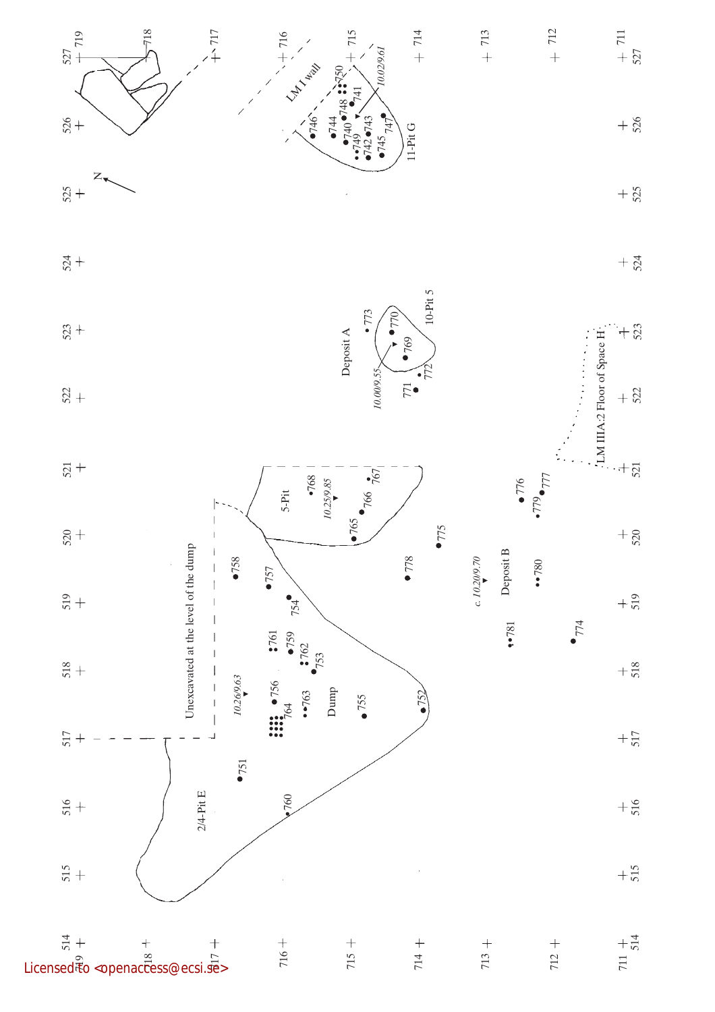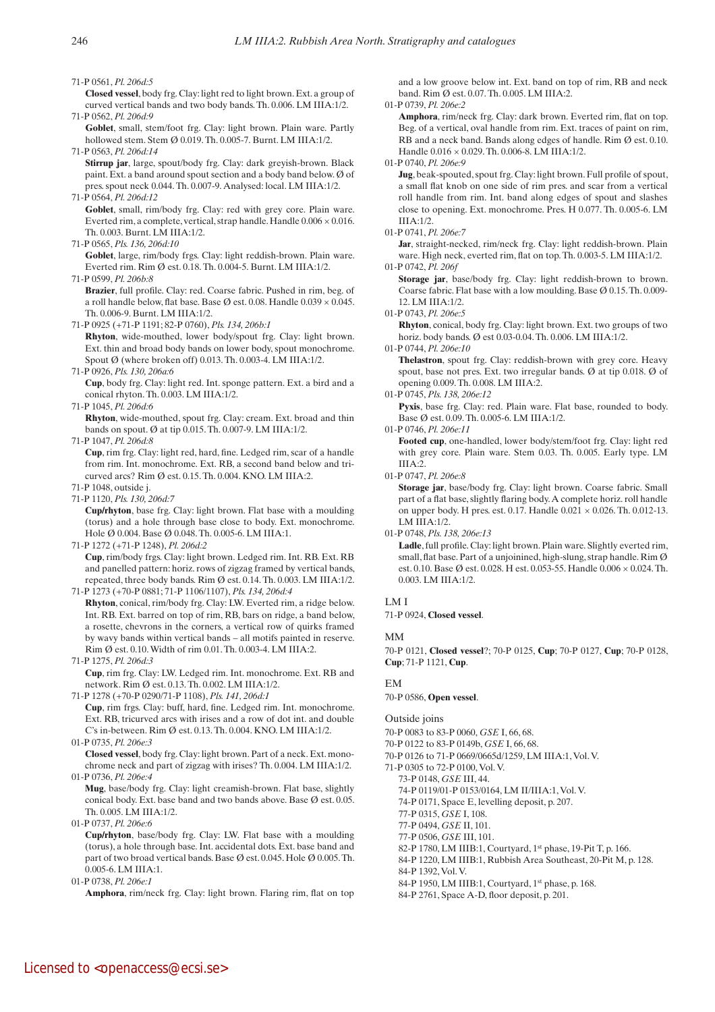71-P 0561, *Pl. 206d:5*

 **Closed vessel**, body frg. Clay: light red to light brown. Ext. a group of curved vertical bands and two body bands. Th. 0.006. LM IIIA:1/2. 71-P 0562, *Pl. 206d:9*

Goblet, small, stem/foot frg. Clay: light brown. Plain ware. Partly hollowed stem. Stem Ø 0.019. Th. 0.005-7. Burnt. LM IIIA:1/2.

71-P 0563, *Pl. 206d:14*  **Stirrup jar**, large, spout/body frg. Clay: dark greyish-brown. Black paint. Ext. a band around spout section and a body band below. Ø of pres. spout neck 0.044. Th. 0.007-9. Analysed: local. LM IIIA:1/2.

71-P 0564, *Pl. 206d:12*

Goblet, small, rim/body frg. Clay: red with grey core. Plain ware. Everted rim, a complete, vertical, strap handle. Handle 0.006 × 0.016. Th. 0.003. Burnt. LM IIIA:1/2.

71-P 0565, *Pls. 136, 206d:10*

Goblet, large, rim/body frgs. Clay: light reddish-brown. Plain ware. Everted rim. Rim Ø est. 0.18. Th. 0.004-5. Burnt. LM IIIA:1/2.

71-P 0599, *Pl. 206b:8*

**Brazier**, full profile. Clay: red. Coarse fabric. Pushed in rim, beg. of a roll handle below, flat base. Base Ø est. 0.08. Handle  $0.039 \times 0.045$ . Th. 0.006-9. Burnt. LM IIIA:1/2.

71-P 0925 (+71-P 1191; 82-P 0760), *Pls. 134, 206b:1*

 **Rhyton**, wide-mouthed, lower body/spout frg. Clay: light brown. Ext. thin and broad body bands on lower body, spout monochrome. Spout Ø (where broken off) 0.013. Th. 0.003-4. LM IIIA:1/2.

71-P 0926, *Pls. 130, 206a:6* 

 **Cup**, body frg. Clay: light red. Int. sponge pattern. Ext. a bird and a conical rhyton. Th. 0.003. LM IIIA:1/2.

71-P 1045, *Pl. 206d:6*

 **Rhyton**, wide-mouthed, spout frg. Clay: cream. Ext. broad and thin bands on spout. Ø at tip 0.015. Th. 0.007-9. LM IIIA:1/2.

71-P 1047, *Pl. 206d:8*

 **Cup**, rim frg. Clay: light red, hard, fine. Ledged rim, scar of a handle from rim. Int. monochrome. Ext. RB, a second band below and tricurved arcs? Rim Ø est. 0.15. Th. 0.004. KNO. LM IIIA:2.

71-P 1048, outside j.

71-P 1120, *Pls. 130, 206d:7*  **Cup/rhyton**, base frg. Clay: light brown. Flat base with a moulding (torus) and a hole through base close to body. Ext. monochrome. Hole Ø 0.004. Base Ø 0.048. Th. 0.005-6. LM IIIA:1.

71-P 1272 (+71-P 1248), *Pl. 206d:2*  **Cup**, rim/body frgs. Clay: light brown. Ledged rim. Int. RB. Ext. RB and panelled pattern: horiz. rows of zigzag framed by vertical bands, repeated, three body bands. Rim Ø est. 0.14. Th. 0.003. LM IIIA:1/2. 71-P 1273 (+70-P 0881; 71-P 1106/1107), *Pls. 134, 206d:4*

 **Rhyton**, conical, rim/body frg. Clay: LW. Everted rim, a ridge below. Int. RB. Ext. barred on top of rim, RB, bars on ridge, a band below, a rosette, chevrons in the corners, a vertical row of quirks framed by wavy bands within vertical bands – all motifs painted in reserve. Rim Ø est. 0.10. Width of rim 0.01. Th. 0.003-4. LM IIIA:2.

- 71-P 1275, *Pl. 206d:3*  **Cup**, rim frg. Clay: LW. Ledged rim. Int. monochrome. Ext. RB and network. Rim Ø est. 0.13. Th. 0.002. LM IIIA:1/2.
- 71-P 1278 (+70-P 0290/71-P 1108), *Pls. 141, 206d:1*

 **Cup**, rim frgs. Clay: buff, hard, fine. Ledged rim. Int. monochrome. Ext. RB, tricurved arcs with irises and a row of dot int. and double C's in-between. Rim Ø est. 0.13. Th. 0.004. KNO. LM IIIA:1/2. 01-P 0735, *Pl. 206e:3*

 **Closed vessel**, body frg. Clay: light brown. Part of a neck. Ext. monochrome neck and part of zigzag with irises? Th. 0.004. LM IIIA:1/2. 01-P 0736, *Pl. 206e:4*

 **Mug**, base/body frg. Clay: light creamish-brown. Flat base, slightly conical body. Ext. base band and two bands above. Base Ø est. 0.05. Th. 0.005. LM IIIA:1/2.

01-P 0737, *Pl. 206e:6*

 **Cup/rhyton**, base/body frg. Clay: LW. Flat base with a moulding (torus), a hole through base. Int. accidental dots. Ext. base band and part of two broad vertical bands. Base Ø est. 0.045. Hole Ø 0.005. Th. 0.005-6. LM IIIA:1.

01-P 0738, *Pl. 206e:1*

 **Amphora**, rim/neck frg. Clay: light brown. Flaring rim, flat on top

and a low groove below int. Ext. band on top of rim, RB and neck band. Rim Ø est. 0.07. Th. 0.005. LM IIIA:2.

#### 01-P 0739, *Pl. 206e:2*

 **Amphora**, rim/neck frg. Clay: dark brown. Everted rim, flat on top. Beg. of a vertical, oval handle from rim. Ext. traces of paint on rim, RB and a neck band. Bands along edges of handle. Rim Ø est. 0.10. Handle 0.016 × 0.029. Th. 0.006-8. LM IIIA:1/2.

01-P 0740, *Pl. 206e:9*

 **Jug**, beak-spouted, spout frg. Clay: light brown. Full profile of spout, a small flat knob on one side of rim pres. and scar from a vertical roll handle from rim. Int. band along edges of spout and slashes close to opening. Ext. monochrome. Pres. H 0.077. Th. 0.005-6. LM IIIA:1/2.

#### 01-P 0741, *Pl. 206e:7*

Jar, straight-necked, rim/neck frg. Clay: light reddish-brown. Plain ware. High neck, everted rim, flat on top. Th. 0.003-5. LM IIIA:1/2. 01-P 0742, *Pl. 206f*

 **Storage jar**, base/body frg. Clay: light reddish-brown to brown. Coarse fabric. Flat base with a low moulding. Base  $\varnothing$  0.15. Th. 0.009-

12. LM IIIA:1/2. 01-P 0743, *Pl. 206e:5*

 **Rhyton**, conical, body frg. Clay: light brown. Ext. two groups of two horiz. body bands. Ø est 0.03-0.04. Th. 0.006. LM IIIA:1/2.

01-P 0744, *Pl. 206e:10*

 **Thelastron**, spout frg. Clay: reddish-brown with grey core. Heavy spout, base not pres. Ext. two irregular bands. Ø at tip 0.018. Ø of opening 0.009. Th. 0.008. LM IIIA:2.

01-P 0745, *Pls. 138, 206e:12*

Pyxis, base frg. Clay: red. Plain ware. Flat base, rounded to body. Base Ø est. 0.09. Th. 0.005-6. LM IIIA:1/2.

01-P 0746, *Pl. 206e:11*

 **Footed cup**, one-handled, lower body/stem/foot frg. Clay: light red with grey core. Plain ware. Stem 0.03. Th. 0.005. Early type. LM IIIA:2.

01-P 0747, *Pl. 206e:8*

 **Storage jar**, base/body frg. Clay: light brown. Coarse fabric. Small part of a flat base, slightly flaring body. A complete horiz. roll handle on upper body. H pres. est. 0.17. Handle 0.021 × 0.026. Th. 0.012-13. LM IIIA:1/2.

01-P 0748, *Pls. 138, 206e:13*

Ladle, full profile. Clay: light brown. Plain ware. Slightly everted rim, small, flat base. Part of a unjoinined, high-slung, strap handle. Rim Ø est. 0.10. Base Ø est. 0.028. H est. 0.053-55. Handle 0.006 × 0.024. Th. 0.003. LM IIIA:1/2.

### LM I

71-P 0924, **Closed vessel**.

# MM

70-P 0121, **Closed vessel**?; 70-P 0125, **Cup**; 70-P 0127, **Cup**; 70-P 0128, **Cup**; 71-P 1121, **Cup**.

# EM

70-P 0586, **Open vessel**.

Outside joins

70-P 0083 to 83-P 0060, *GSE* I, 66, 68.

70-P 0122 to 83-P 0149b, *GSE* I, 66, 68.

70-P 0126 to 71-P 0669/0665d/1259, LM IIIA:1, Vol. V.

71-P 0305 to 72-P 0100, Vol. V.

73-P 0148, *GSE* III, 44. 74-P 0119/01-P 0153/0164, LM II/IIIA:1, Vol. V.

74-P 0171, Space E, levelling deposit, p. 207.

77-P 0315, *GSE* I, 108.

77-P 0494, *GSE* II, 101.

77-P 0506, *GSE* III, 101.

82-P 1780, LM IIIB:1, Courtyard, 1st phase, 19-Pit T, p. 166.

84-P 1220, LM IIIB:1, Rubbish Area Southeast, 20-Pit M, p. 128.

84-P 1392, Vol. V.

84-P 1950, LM IIIB:1, Courtyard, 1<sup>st</sup> phase, p. 168.

84-P 2761, Space A-D, floor deposit, p. 201.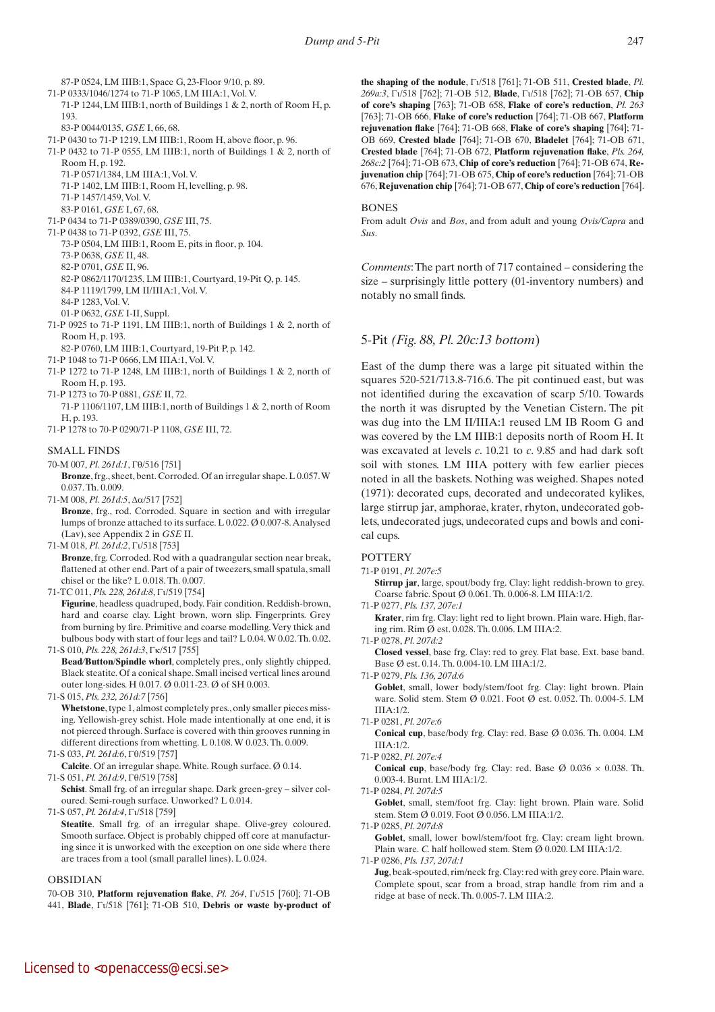87-P 0524, LM IIIB:1, Space G, 23-Floor 9/10, p. 89. 71-P 0333/1046/1274 to 71-P 1065, LM IIIA:1, Vol. V. 71-P 1244, LM IIIB:1, north of Buildings 1 & 2, north of Room H, p. 193.

83-P 0044/0135, *GSE* I, 66, 68.

- 71-P 0430 to 71-P 1219, LM IIIB:1, Room H, above floor, p. 96.
- 71-P 0432 to 71-P 0555, LM IIIB:1, north of Buildings 1 & 2, north of Room H, p. 192.
	- 71-P 0571/1384, LM IIIA:1, Vol. V.
	- 71-P 1402, LM IIIB:1, Room H, levelling, p. 98.
	- 71-P 1457/1459, Vol. V.
- 83-P 0161, *GSE* I, 67, 68.
- 71-P 0434 to 71-P 0389/0390, *GSE* III, 75.
- 71-P 0438 to 71-P 0392, *GSE* III, 75. 73-P 0504, LM IIIB:1, Room E, pits in floor, p. 104.
	- 73-P 0638, *GSE* II, 48.
	- 82-P 0701, *GSE* II, 96.
	- 82-P 0862/1170/1235, LM IIIB:1, Courtyard, 19-Pit Q, p. 145.
	- 84-P 1119/1799, LM II/IIIA:1, Vol. V.
	- 84-P 1283, Vol. V.
	- 01-P 0632, *GSE* I-II, Suppl.
- 71-P 0925 to 71-P 1191, LM IIIB:1, north of Buildings 1 & 2, north of Room H, p. 193.
- 82-P 0760, LM IIIB:1, Courtyard, 19-Pit P, p. 142.
- 71-P 1048 to 71-P 0666, LM IIIA:1, Vol. V.
- 71-P 1272 to 71-P 1248, LM IIIB:1, north of Buildings 1 & 2, north of Room H, p. 193.
- 71-P 1273 to 70-P 0881, *GSE* II, 72. 71-P 1106/1107, LM IIIB:1, north of Buildings 1 & 2, north of Room H, p. 193.
- 71-P 1278 to 70-P 0290/71-P 1108, *GSE* III, 72.

### SMALL FINDS

- 70-M 007, *Pl. 261d:1*,  $\Gamma\theta$ /516 [751]
- **Bronze**, frg., sheet, bent. Corroded. Of an irregular shape. L 0.057. W 0.037. Th. 0.009.
- 71-M 008, *Pl.* 261*d*: 5, Δα/517 [752]
- Bronze, frg., rod. Corroded. Square in section and with irregular lumps of bronze attached to its surface. L 0.022. Ø 0.007-8. Analysed (Lav), see Appendix 2 in *GSE* II.
- 71-M 018, *Pl. 261d:2*,  $\Gamma$ <sub>1</sub>/518 [753]  **Bronze**, frg. Corroded. Rod with a quadrangular section near break, flattened at other end. Part of a pair of tweezers, small spatula, small chisel or the like? L 0.018. Th. 0.007.
- 71-TC 011, *Pls.* 228, 261d:8,  $\Gamma$ <sub>1</sub>/519 [754]

 **Figurine**, headless quadruped, body. Fair condition. Reddish-brown, hard and coarse clay. Light brown, worn slip. Fingerprints. Grey from burning by fire. Primitive and coarse modelling. Very thick and bulbous body with start of four legs and tail? L 0.04. W 0.02. Th. 0.02.

71-S 010, *Pls.* 228, 261d:3,  $\Gamma$ <sup>k</sup>/517 [755]

 **Bead***/***Button**/**Spindle whorl**, completely pres., only slightly chipped. Black steatite. Of a conical shape. Small incised vertical lines around outer long-sides. H 0.017. Ø 0.011-23. Ø of SH 0.003.

71-S 015, *Pls. 232, 261d:7* [756]

**Whetstone**, type 1, almost completely pres., only smaller pieces missing. Yellowish-grey schist. Hole made intentionally at one end, it is not pierced through. Surface is covered with thin grooves running in different directions from whetting. L 0.108. W 0.023. Th. 0.009.

- 71-S 033, *Pl. 261d:6*,  $\Gamma\theta$ /519 [757]
- **Calcite**. Of an irregular shape. White. Rough surface. Ø 0.14. 71-S 051, *Pl. 261d:9*,  $\Gamma\theta$ /519 [758]

**Schist**. Small frg. of an irregular shape. Dark green-grey – silver coloured. Semi-rough surface. Unworked? L 0.014.

71-S 057, *Pl. 261d:4*,  $\Gamma$ <sub>1</sub>/518 [759]

Steatite. Small frg. of an irregular shape. Olive-grey coloured. Smooth surface. Object is probably chipped off core at manufacturing since it is unworked with the exception on one side where there are traces from a tool (small parallel lines). L 0.024.

### OBSIDIAN

70-OB 310, **Platform rejuvenation flake**, *Pl. 264*, Gi/515 [760]; 71-OB 441, **Blade**, Gi/518 [761]; 71-OB 510, **Debris or waste by-product of** **the** shaping of the nodule,  $\Gamma$  $\frac{1}{518}$  [761]; 71-OB 511, Crested blade, *Pl. 269a:3*, Gi/518 [762]; 71-OB 512, **Blade**, Gi/518 [762]; 71-OB 657, **Chip of core's shaping** [763]; 71-OB 658, **Flake of core's reduction**, *Pl. 263* [763]; 71-OB 666, **Flake of core's reduction** [764]; 71-OB 667, **Platform rejuvenation flake** [764]; 71-OB 668, **Flake of core's shaping** [764]; 71- OB 669, **Crested blade** [764]; 71-OB 670, **Bladelet** [764]; 71-OB 671, **Crested blade** [764]; 71-OB 672, **Platform rejuvenation flake**, *Pls. 264, 268c:2* [764]; 71-OB 673, **Chip of core's reduction** [764]; 71-OB 674, **Rejuvenation chip** [764]; 71-OB 675, **Chip of core's reduction** [764]; 71-OB 676, **Rejuvenation chip** [764]; 71-OB 677, **Chip of core's reduction** [764].

# **BONES**

From adult *Ovis* and *Bos*, and from adult and young *Ovis/Capra* and *Sus*.

*Comments*: The part north of 717 contained – considering the size – surprisingly little pottery (01-inventory numbers) and notably no small finds.

# 5-Pit *(Fig. 88, Pl. 20c:13 bottom*)

East of the dump there was a large pit situated within the squares 520-521/713.8-716.6. The pit continued east, but was not identified during the excavation of scarp 5/10. Towards the north it was disrupted by the Venetian Cistern. The pit was dug into the LM II/IIIA:1 reused LM IB Room G and was covered by the LM IIIB:1 deposits north of Room H. It was excavated at levels *c*. 10.21 to *c*. 9.85 and had dark soft soil with stones. LM IIIA pottery with few earlier pieces noted in all the baskets. Nothing was weighed. Shapes noted (1971): decorated cups, decorated and undecorated kylikes, large stirrup jar, amphorae, krater, rhyton, undecorated goblets, undecorated jugs, undecorated cups and bowls and conical cups.

### **POTTERY**

- 71-P 0191, *Pl. 207e:5*
	- **Stirrup jar**, large, spout/body frg. Clay: light reddish-brown to grey. Coarse fabric. Spout Ø 0.061. Th. 0.006-8. LM IIIA:1/2.
- 71-P 0277, *Pls. 137, 207e:1*
- **Krater**, rim frg. Clay: light red to light brown. Plain ware. High, flaring rim. Rim Ø est. 0.028. Th. 0.006. LM IIIA:2.

71-P 0278, *Pl. 207d:2*

 **Closed vessel**, base frg. Clay: red to grey. Flat base. Ext. base band. Base Ø est. 0.14. Th. 0.004-10. LM IIIA:1/2.

71-P 0279, *Pls. 136, 207d:6*

Goblet, small, lower body/stem/foot frg. Clay: light brown. Plain ware. Solid stem. Stem Ø 0.021. Foot Ø est. 0.052. Th. 0.004-5. LM IIIA:1/2.

 **Conical cup**, base/body frg. Clay: red. Base Ø 0.036. Th. 0.004. LM IIIA:1/2.

**Conical cup**, base/body frg. Clay: red. Base  $\varnothing$  0.036  $\times$  0.038. Th. 0.003-4. Burnt. LM IIIA:1/2.

71-P 0284, *Pl. 207d:5*

Goblet, small, stem/foot frg. Clay: light brown. Plain ware. Solid stem. Stem Ø 0.019. Foot Ø 0.056. LM IIIA:1/2.

71-P 0285, *Pl. 207d:8*

Goblet, small, lower bowl/stem/foot frg. Clay: cream light brown. Plain ware. *C.* half hollowed stem. Stem Ø 0.020. LM IIIA:1/2. 71-P 0286, *Pls. 137, 207d:1* 

 **Jug**, beak-spouted, rim/neck frg. Clay: red with grey core. Plain ware. Complete spout, scar from a broad, strap handle from rim and a ridge at base of neck. Th. 0.005-7. LM IIIA:2.

<sup>71-</sup>P 0281, *Pl. 207e:6*

<sup>71-</sup>P 0282, *Pl. 207e:4*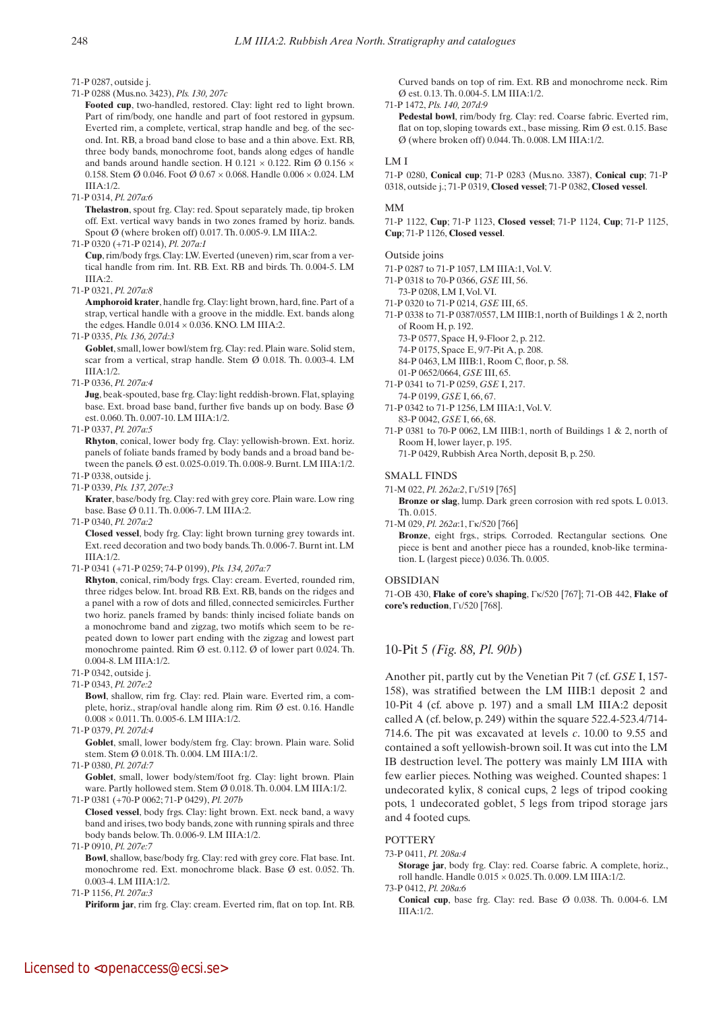71-P 0287, outside j.

71-P 0288 (Mus.no. 3423), *Pls. 130, 207c*

Footed cup, two-handled, restored. Clay: light red to light brown. Part of rim/body, one handle and part of foot restored in gypsum. Everted rim, a complete, vertical, strap handle and beg. of the second. Int. RB, a broad band close to base and a thin above. Ext. RB, three body bands, monochrome foot, bands along edges of handle and bands around handle section. H 0.121  $\times$  0.122. Rim Ø 0.156  $\times$ 0.158. Stem Ø 0.046. Foot Ø 0.67 × 0.068. Handle 0.006 × 0.024. LM IIIA:1/2.

71-P 0314, *Pl. 207a:6*

 **Thelastron**, spout frg. Clay: red. Spout separately made, tip broken off. Ext. vertical wavy bands in two zones framed by horiz. bands. Spout Ø (where broken off) 0.017. Th. 0.005-9. LM IIIA:2.

71-P 0320 (+71-P 0214), *Pl. 207a:1*

 **Cup**, rim/body frgs. Clay: LW. Everted (uneven) rim, scar from a vertical handle from rim. Int. RB. Ext. RB and birds. Th. 0.004-5. LM IIIA:2.

71-P 0321, *Pl. 207a:8*

 **Amphoroid krater**, handle frg. Clay: light brown, hard, fine. Part of a strap, vertical handle with a groove in the middle. Ext. bands along the edges. Handle  $0.014 \times 0.036$ . KNO. LM IIIA:2.

71-P 0335, *Pls. 136, 207d:3*

Goblet, small, lower bowl/stem frg. Clay: red. Plain ware. Solid stem, scar from a vertical, strap handle. Stem Ø 0.018. Th. 0.003-4. LM IIIA:1/2.

71-P 0336, *Pl. 207a:4*

**Jug**, beak-spouted, base frg. Clay: light reddish-brown. Flat, splaying base. Ext. broad base band, further five bands up on body. Base Ø est. 0.060. Th. 0.007-10. LM IIIA:1/2.

71-P 0337, *Pl. 207a:5*

 **Rhyton**, conical, lower body frg. Clay: yellowish-brown. Ext. horiz. panels of foliate bands framed by body bands and a broad band between the panels. Ø est. 0.025-0.019. Th. 0.008-9. Burnt. LM IIIA:1/2.

71-P 0338, outside j. 71-P 0339, *Pls. 137, 207e:3*

 **Krater**, base/body frg. Clay: red with grey core. Plain ware. Low ring base. Base Ø 0.11. Th. 0.006-7. LM IIIA:2.

71-P 0340, *Pl. 207a:2*

 **Closed vessel**, body frg. Clay: light brown turning grey towards int. Ext. reed decoration and two body bands. Th. 0.006-7. Burnt int. LM IIIA:1/2.

71-P 0341 (+71-P 0259; 74-P 0199), *Pls. 134, 207a:7*

 **Rhyton**, conical, rim/body frgs. Clay: cream. Everted, rounded rim, three ridges below. Int. broad RB. Ext. RB, bands on the ridges and a panel with a row of dots and filled, connected semicircles. Further two horiz. panels framed by bands: thinly incised foliate bands on a monochrome band and zigzag, two motifs which seem to be repeated down to lower part ending with the zigzag and lowest part monochrome painted. Rim Ø est. 0.112. Ø of lower part 0.024. Th. 0.004-8. LM IIIA:1/2.

- 71-P 0342, outside j.
- 71-P 0343, *Pl. 207e:2*

 **Bowl**, shallow, rim frg. Clay: red. Plain ware. Everted rim, a complete, horiz., strap/oval handle along rim. Rim Ø est. 0.16. Handle  $0.008 \times 0.011$ . Th.  $0.005$ -6. LM IIIA:1/2.

71-P 0379, *Pl. 207d:4*

Goblet, small, lower body/stem frg. Clay: brown. Plain ware. Solid stem. Stem Ø 0.018. Th. 0.004. LM IIIA:1/2.

71-P 0380, *Pl. 207d:7*

Goblet, small, lower body/stem/foot frg. Clay: light brown. Plain ware. Partly hollowed stem. Stem Ø 0.018. Th. 0.004. LM IIIA:1/2. 71-P 0381 (+70-P 0062; 71-P 0429), *Pl. 207b*

- **Closed vessel**, body frgs. Clay: light brown. Ext. neck band, a wavy band and irises, two body bands, zone with running spirals and three body bands below. Th. 0.006-9. LM IIIA:1/2.
- 71-P 0910, *Pl. 207e:7*

 **Bowl**, shallow, base/body frg. Clay: red with grey core. Flat base. Int. monochrome red. Ext. monochrome black. Base Ø est. 0.052. Th. 0.003-4. LM IIIA:1/2.

71-P 1156, *Pl. 207a:3*

**Piriform jar**, rim frg. Clay: cream. Everted rim, flat on top. Int. RB.

Curved bands on top of rim. Ext. RB and monochrome neck. Rim Ø est. 0.13. Th. 0.004-5. LM IIIA:1/2.

71-P 1472, *Pls. 140, 207d:9*

 **Pedestal bowl**, rim/body frg. Clay: red. Coarse fabric. Everted rim, flat on top, sloping towards ext., base missing. Rim  $\emptyset$  est. 0.15. Base Ø (where broken off) 0.044. Th. 0.008. LM IIIA:1/2.

#### LM I

71-P 0280, **Conical cup**; 71-P 0283 (Mus.no. 3387), **Conical cup**; 71-P 0318, outside j.; 71-P 0319, **Closed vessel**; 71-P 0382, **Closed vessel**.

#### MM

71-P 1122, **Cup**; 71-P 1123, **Closed vessel**; 71-P 1124, **Cup**; 71-P 1125, **Cup**; 71-P 1126, **Closed vessel**.

#### Outside joins

- 71-P 0287 to 71-P 1057, LM IIIA:1, Vol. V.
- 71-P 0318 to 70-P 0366, *GSE* III, 56.
- 73-P 0208, LM I, Vol. VI.
- 71-P 0320 to 71-P 0214, *GSE* III, 65.
- 71-P 0338 to 71-P 0387/0557, LM IIIB:1, north of Buildings 1 & 2, north of Room H, p. 192.
	- 73-P 0577, Space H, 9-Floor 2, p. 212.
	- 74-P 0175, Space E, 9/7-Pit A, p. 208.
	- 84-P 0463, LM IIIB:1, Room C, floor, p. 58.
- 01-P 0652/0664, *GSE* III, 65.
- 71-P 0341 to 71-P 0259, *GSE* I, 217. 74-P 0199, *GSE* I, 66, 67.
- 71-P 0342 to 71-P 1256, LM IIIA:1, Vol. V. 83-P 0042, *GSE* I, 66, 68.
- 71-P 0381 to 70-P 0062, LM IIIB:1, north of Buildings 1 & 2, north of Room H, lower layer, p. 195.
	- 71-P 0429, Rubbish Area North, deposit B, p. 250.

#### SMALL FINDS

71-M 022, *Pl. 262a:2*,  $\Gamma$ <sub>1</sub>/519 [765]

 **Bronze or slag**, lump. Dark green corrosion with red spots. L 0.013. Th. 0.015.

71-M 029, *Pl. 262a*:1, Gk/520 [766]  **Bronze**, eight frgs., strips. Corroded. Rectangular sections. One piece is bent and another piece has a rounded, knob-like termination. L (largest piece) 0.036. Th. 0.005.

#### OBSIDIAN

71-OB 430, **Flake of core's shaping**, Gk/520 [767]; 71-OB 442, **Flake of core's reduction**,  $\Gamma$ <sub>1</sub>/520 [768].

# 10-Pit 5 *(Fig. 88, Pl. 90b*)

Another pit, partly cut by the Venetian Pit 7 (cf. *GSE* I, 157- 158), was stratified between the LM IIIB:1 deposit 2 and 10-Pit 4 (cf. above p. 197) and a small LM IIIA:2 deposit called A (cf. below, p. 249) within the square 522.4-523.4/714- 714.6. The pit was excavated at levels *c*. 10.00 to 9.55 and contained a soft yellowish-brown soil. It was cut into the LM IB destruction level. The pottery was mainly LM IIIA with few earlier pieces. Nothing was weighed. Counted shapes: 1 undecorated kylix, 8 conical cups, 2 legs of tripod cooking pots, 1 undecorated goblet, 5 legs from tripod storage jars and 4 footed cups.

### **POTTERY**

73-P 0411, *Pl. 208a:4*

 **Storage jar**, body frg. Clay: red. Coarse fabric. A complete, horiz., roll handle. Handle 0.015 × 0.025. Th. 0.009. LM IIIA:1/2.

- 73-P 0412, *Pl. 208a:6*
	- **Conical cup**, base frg. Clay: red. Base Ø 0.038. Th. 0.004-6. LM IIIA:1/2.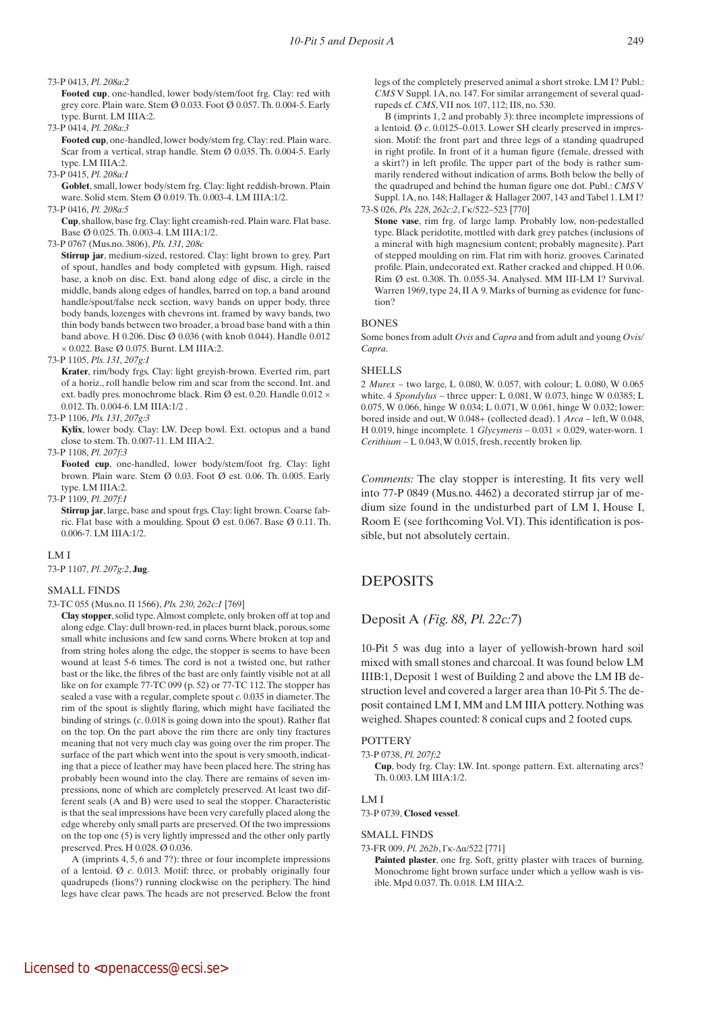#### 73-P 0413, *Pl. 208a:2*

 **Footed cup**, one-handled, lower body/stem/foot frg. Clay: red with grey core. Plain ware. Stem  $\varnothing$  0.033. Foot  $\varnothing$  0.057. Th. 0.004-5. Early type. Burnt. LM IIIA:2.

73-P 0414, *Pl. 208a:3*

 **Footed cup**, one-handled, lower body/stem frg. Clay: red. Plain ware. Scar from a vertical, strap handle. Stem Ø 0.035. Th. 0.004-5. Early type. LM IIIA:2.

73-P 0415, *Pl. 208a:1*

**Goblet**, small, lower body/stem frg. Clay: light reddish-brown. Plain ware. Solid stem. Stem Ø 0.019. Th. 0.003-4. LM IIIA:1/2.

73-P 0416, *Pl. 208a:5*

 **Cup**, shallow, base frg. Clay: light creamish-red. Plain ware. Flat base. Base Ø 0.025. Th. 0.003-4. LM IIIA:1/2.

#### 73-P 0767 (Mus.no. 3806), *Pls. 131, 208c*

 **Stirrup jar**, medium-sized, restored. Clay: light brown to grey. Part of spout, handles and body completed with gypsum. High, raised base, a knob on disc. Ext. band along edge of disc, a circle in the middle, bands along edges of handles, barred on top, a band around handle/spout/false neck section, wavy bands on upper body, three body bands, lozenges with chevrons int. framed by wavy bands, two thin body bands between two broader, a broad base band with a thin band above. H 0.206. Disc Ø 0.036 (with knob 0.044). Handle 0.012  $\times$  0.022. Base Ø 0.075. Burnt. LM IIIA:2.

73-P 1105, *Pls. 131, 207g:1* 

 **Krater**, rim/body frgs. Clay: light greyish-brown. Everted rim, part of a horiz., roll handle below rim and scar from the second. Int. and ext. badly pres. monochrome black. Rim Ø est. 0.20. Handle 0.012 × 0.012. Th. 0.004-6. LM IIIA:1/2 .

73-P 1106, *Pls. 131, 207g:3*

 **Kylix**, lower body. Clay: LW. Deep bowl. Ext. octopus and a band close to stem. Th. 0.007-11. LM IIIA:2.

73-P 1108, *Pl. 207f:3*

 **Footed cup**, one-handled, lower body/stem/foot frg. Clay: light brown. Plain ware. Stem Ø 0.03. Foot Ø est. 0.06. Th. 0.005. Early type. LM IIIA:2.

73-P 1109, *Pl. 207f:1*

 **Stirrup jar**, large, base and spout frgs. Clay: light brown. Coarse fabric. Flat base with a moulding. Spout Ø est. 0.067. Base Ø 0.11. Th. 0.006-7. LM IIIA:1/2.

#### LM I

73-P 1107, *Pl. 207g:2*, **Jug**.

#### SMALL FINDS

73-TC 055 (Mus.no. Π 1566), *Pls. 230, 262c:1* [769]

 **Clay stopper**, solid type. Almost complete, only broken off at top and along edge. Clay: dull brown-red, in places burnt black, porous, some small white inclusions and few sand corns. Where broken at top and from string holes along the edge, the stopper is seems to have been wound at least 5-6 times. The cord is not a twisted one, but rather bast or the like, the fibres of the bast are only faintly visible not at all like on for example 77-TC 099 (p. 52) or 77-TC 112. The stopper has sealed a vase with a regular, complete spout *c.* 0.035 in diameter. The rim of the spout is slightly flaring, which might have faciliated the binding of strings. (*c*. 0.018 is going down into the spout). Rather flat on the top. On the part above the rim there are only tiny fractures meaning that not very much clay was going over the rim proper. The surface of the part which went into the spout is very smooth, indicating that a piece of leather may have been placed here. The string has probably been wound into the clay. There are remains of seven impressions, none of which are completely preserved. At least two different seals (A and B) were used to seal the stopper. Characteristic is that the seal impressions have been very carefully placed along the edge whereby only small parts are preserved. Of the two impressions on the top one (5) is very lightly impressed and the other only partly preserved. Pres. H 0.028. Ø 0.036.

A (imprints 4, 5, 6 and 7?): three or four incomplete impressions of a lentoid. Ø *c*. 0.013. Motif: three, or probably originally four quadrupeds (lions?) running clockwise on the periphery. The hind legs have clear paws. The heads are not preserved. Below the front

legs of the completely preserved animal a short stroke. LM I? Publ.: *CMS* V Suppl. 1A, no. 147. For similar arrangement of several quadrupeds cf. *CMS*, VII nos. 107, 112; II8, no. 530.

B (imprints 1, 2 and probably 3): three incomplete impressions of a lentoid. Ø *c*. 0.0125–0.013. Lower SH clearly preserved in impression. Motif: the front part and three legs of a standing quadruped in right profile. In front of it a human figure (female, dressed with a skirt?) in left profile. The upper part of the body is rather summarily rendered without indication of arms. Both below the belly of the quadruped and behind the human figure one dot. Publ.: *CMS* V Suppl. 1A, no. 148; Hallager & Hallager 2007, 143 and Tabel 1. LM I? 73-S 026, *Pls. 228, 262c:2*, Gk/522–523 [770]

 **Stone vase**, rim frg. of large lamp. Probably low, non-pedestalled type. Black peridotite, mottled with dark grey patches (inclusions of a mineral with high magnesium content; probably magnesite). Part of stepped moulding on rim. Flat rim with horiz. grooves. Carinated profile. Plain, undecorated ext. Rather cracked and chipped. H 0.06. Rim Ø est. 0.308. Th. 0.055-34. Analysed. MM III-LM I? Survival. Warren 1969, type 24, II A 9. Marks of burning as evidence for function?

#### BONES

Some bones from adult *Ovis* and *Capra* and from adult and young *Ovis/ Capra*.

#### SHELLS

2 *Murex* – two large, L 0.080, W. 0.057, with colour; L 0.080, W 0.065 white. 4 *Spondylus* – three upper: L 0.081, W 0.073, hinge W 0.0385; L 0.075, W 0.066, hinge W 0.034; L 0.071, W 0.061, hinge W 0.032; lower: bored inside and out, W 0.048+ (collected dead). 1 *Arca* – left, W 0.048, H 0.019, hinge incomplete. 1  $Glycymeris - 0.031 \times 0.029$ , water-worn. 1 *Cerithium* – L 0.043, W 0.015, fresh, recently broken lip.

*Comments:* The clay stopper is interesting. It fits very well into 77-P 0849 (Mus.no. 4462) a decorated stirrup jar of medium size found in the undisturbed part of LM I, House I, Room E (see forthcoming Vol. VI). This identification is possible, but not absolutely certain.

# DEPOSITS

### Deposit A *(Fig. 88, Pl. 22c:7*)

10-Pit 5 was dug into a layer of yellowish-brown hard soil mixed with small stones and charcoal. It was found below LM IIIB:1, Deposit 1 west of Building 2 and above the LM IB destruction level and covered a larger area than 10-Pit 5. The deposit contained LM I, MM and LM IIIA pottery. Nothing was weighed. Shapes counted: 8 conical cups and 2 footed cups.

#### **POTTERY**

#### 73-P 0738, *Pl. 207f:2*

 **Cup**, body frg. Clay: LW. Int. sponge pattern. Ext. alternating arcs? Th. 0.003. LM IIIA:1/2.

## LM I

73-P 0739, **Closed vessel**.

#### SMALL FINDS

73-FR 009, *Pl. 262b*, Γκ-Δα/522 [771]

 **Painted plaster**, one frg. Soft, gritty plaster with traces of burning. Monochrome light brown surface under which a yellow wash is visible. Mpd 0.037. Th. 0.018. LM IIIA:2.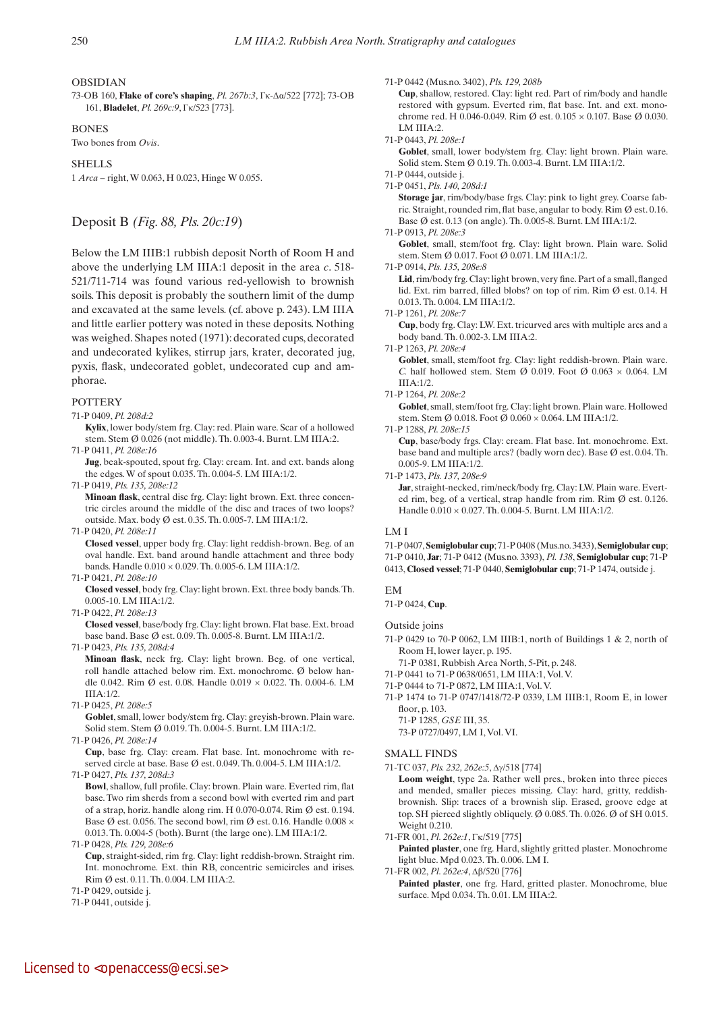### OBSIDIAN

73-OB 160, **Flake of core's shaping**, *Pl. 267b:3*, Γκ-Δα/522 [772]; 73-OB 161, **Bladelet**, *Pl. 269c:9*, Γκ/523 [773].

**BONES** 

Two bones from *Ovis*.

**SHELLS** 

1 *Arca* – right, W 0.063, H 0.023, Hinge W 0.055.

# Deposit B *(Fig. 88, Pls. 20c:19*)

Below the LM IIIB:1 rubbish deposit North of Room H and above the underlying LM IIIA:1 deposit in the area *c*. 518- 521/711-714 was found various red-yellowish to brownish soils. This deposit is probably the southern limit of the dump and excavated at the same levels. (cf. above p. 243). LM IIIA and little earlier pottery was noted in these deposits. Nothing was weighed. Shapes noted (1971): decorated cups, decorated and undecorated kylikes, stirrup jars, krater, decorated jug, pyxis, flask, undecorated goblet, undecorated cup and amphorae.

#### **POTTERY**

71-P 0409, *Pl. 208d:2*

 **Kylix**, lower body/stem frg. Clay: red. Plain ware. Scar of a hollowed stem. Stem Ø 0.026 (not middle). Th. 0.003-4. Burnt. LM IIIA:2.

71-P 0411, *Pl. 208e:16*

 **Jug**, beak-spouted, spout frg. Clay: cream. Int. and ext. bands along the edges. W of spout 0.035. Th. 0.004-5. LM IIIA:1/2.

71-P 0419, *Pls. 135, 208e:12*

 **Minoan flask**, central disc frg. Clay: light brown. Ext. three concentric circles around the middle of the disc and traces of two loops? outside. Max. body Ø est. 0.35. Th. 0.005-7. LM IIIA:1/2.

71-P 0420, *Pl. 208e:11*

 **Closed vessel**, upper body frg. Clay: light reddish-brown. Beg. of an oval handle. Ext. band around handle attachment and three body bands. Handle 0.010 × 0.029. Th. 0.005-6. LM IIIA:1/2.

71-P 0421, *Pl. 208e:10*

 **Closed vessel**, body frg. Clay: light brown. Ext. three body bands. Th. 0.005-10. LM IIIA:1/2.

71-P 0422, *Pl. 208e:13*

 **Closed vessel**, base/body frg. Clay: light brown. Flat base. Ext. broad base band. Base Ø est. 0.09. Th. 0.005-8. Burnt. LM IIIA:1/2.

71-P 0423, *Pls. 135, 208d:4*

 **Minoan flask**, neck frg. Clay: light brown. Beg. of one vertical, roll handle attached below rim. Ext. monochrome. Ø below handle 0.042. Rim Ø est. 0.08. Handle 0.019 × 0.022. Th. 0.004-6. LM IIIA:1/2.

71-P 0425, *Pl. 208e:5*

Goblet, small, lower body/stem frg. Clay: greyish-brown. Plain ware. Solid stem. Stem Ø 0.019. Th. 0.004-5. Burnt. LM IIIA:1/2.

71-P 0426, *Pl. 208e:14*

 **Cup**, base frg. Clay: cream. Flat base. Int. monochrome with reserved circle at base. Base Ø est. 0.049. Th. 0.004-5. LM IIIA:1/2.

71-P 0427, *Pls. 137, 208d:3*

 **Bowl**, shallow, full profile. Clay: brown. Plain ware. Everted rim, flat base. Two rim sherds from a second bowl with everted rim and part of a strap, horiz. handle along rim. H 0.070-0.074. Rim Ø est. 0.194. Base Ø est. 0.056. The second bowl, rim Ø est. 0.16. Handle 0.008  $\times$ 0.013. Th. 0.004-5 (both). Burnt (the large one). LM IIIA:1/2.

71-P 0428, *Pls. 129, 208e:6*

 **Cup**, straight-sided, rim frg. Clay: light reddish-brown. Straight rim. Int. monochrome. Ext. thin RB, concentric semicircles and irises. Rim Ø est. 0.11. Th. 0.004. LM IIIA:2.

71-P 0429, outside j.

71-P 0441, outside j.

#### 71-P 0442 (Mus.no. 3402), *Pls. 129, 208b*

 **Cup**, shallow, restored. Clay: light red. Part of rim/body and handle restored with gypsum. Everted rim, flat base. Int. and ext. monochrome red. H 0.046-0.049. Rim Ø est. 0.105 × 0.107. Base Ø 0.030. LM IIIA:2.

71-P 0443, *Pl. 208e:1*

Goblet, small, lower body/stem frg. Clay: light brown. Plain ware. Solid stem. Stem Ø 0.19. Th. 0.003-4. Burnt. LM IIIA:1/2.

- 71-P 0444, outside j.
- 71-P 0451, *Pls. 140, 208d:1*

 **Storage jar**, rim/body/base frgs. Clay: pink to light grey. Coarse fabric. Straight, rounded rim, flat base, angular to body. Rim Ø est. 0.16. Base Ø est. 0.13 (on angle). Th. 0.005-8. Burnt. LM IIIA:1/2.

71-P 0913, *Pl. 208e:3*

Goblet, small, stem/foot frg. Clay: light brown. Plain ware. Solid stem. Stem Ø 0.017. Foot Ø 0.071. LM IIIA:1/2.

71-P 0914, *Pls. 135, 208e:8* 

 **Lid**, rim/body frg. Clay: light brown, very fine. Part of a small, flanged lid. Ext. rim barred, filled blobs? on top of rim. Rim Ø est. 0.14. H 0.013. Th. 0.004. LM IIIA:1/2.

71-P 1261, *Pl. 208e:7*

 **Cup**, body frg. Clay: LW. Ext. tricurved arcs with multiple arcs and a body band. Th. 0.002-3. LM IIIA:2.

71-P 1263, *Pl. 208e:4*

 **Goblet**, small, stem/foot frg. Clay: light reddish-brown. Plain ware. *C.* half hollowed stem. Stem Ø 0.019. Foot Ø 0.063 × 0.064. LM IIIA:1/2.

71-P 1264, *Pl. 208e:2*

 **Goblet**, small, stem/foot frg. Clay: light brown. Plain ware. Hollowed stem. Stem Ø 0.018. Foot Ø 0.060  $\times$  0.064. LM IIIA:1/2.

#### 71-P 1288, *Pl. 208e:15*

 **Cup**, base/body frgs. Clay: cream. Flat base. Int. monochrome. Ext. base band and multiple arcs? (badly worn dec). Base Ø est. 0.04. Th. 0.005-9. LM IIIA:1/2.

71-P 1473, *Pls. 137, 208e:9* 

Jar, straight-necked, rim/neck/body frg. Clay: LW. Plain ware. Everted rim, beg. of a vertical, strap handle from rim. Rim Ø est. 0.126. Handle 0.010 × 0.027. Th. 0.004-5. Burnt. LM IIIA:1/2.

#### LM I

71-P 0407, **Semiglobular cup**; 71-P 0408 (Mus.no. 3433), **Semiglobular cup**; 71-P 0410, **Jar**; 71-P 0412 (Mus.no. 3393), *Pl. 138*, **Semiglobular cup**; 71-P 0413, **Closed vessel**; 71-P 0440, **Semiglobular cup**; 71-P 1474, outside j.

## EM

71-P 0424, **Cup**.

Outside joins

- 71-P 0429 to 70-P 0062, LM IIIB:1, north of Buildings 1 & 2, north of Room H, lower layer, p. 195.
	- 71-P 0381, Rubbish Area North, 5-Pit, p. 248.
- 71-P 0441 to 71-P 0638/0651, LM IIIA:1, Vol. V.
- 71-P 0444 to 71-P 0872, LM IIIA:1, Vol. V.
- 71-P 1474 to 71-P 0747/1418/72-P 0339, LM IIIB:1, Room E, in lower floor, p. 103.
	- 71-P 1285, *GSE* III, 35. 73-P 0727/0497, LM I, Vol. VI.
	-

# SMALL FINDS

- 71-TC 037, *Pls. 232, 262e:5*, Δγ/518 [774]
	- **Loom weight**, type 2a. Rather well pres., broken into three pieces and mended, smaller pieces missing. Clay: hard, gritty, reddishbrownish. Slip: traces of a brownish slip. Erased, groove edge at top. SH pierced slightly obliquely. Ø 0.085. Th. 0.026. Ø of SH 0.015. Weight 0.210.
- 71-FR 001, *Pl. 262e:1*, Gk/519 [775]

 **Painted plaster**, one frg. Hard, slightly gritted plaster. Monochrome light blue. Mpd 0.023. Th. 0.006. LM I.

71-FR 002, Pl. 262e:4, Δβ/520 [776]

Painted plaster, one frg. Hard, gritted plaster. Monochrome, blue surface. Mpd 0.034. Th. 0.01. LM IIIA:2.